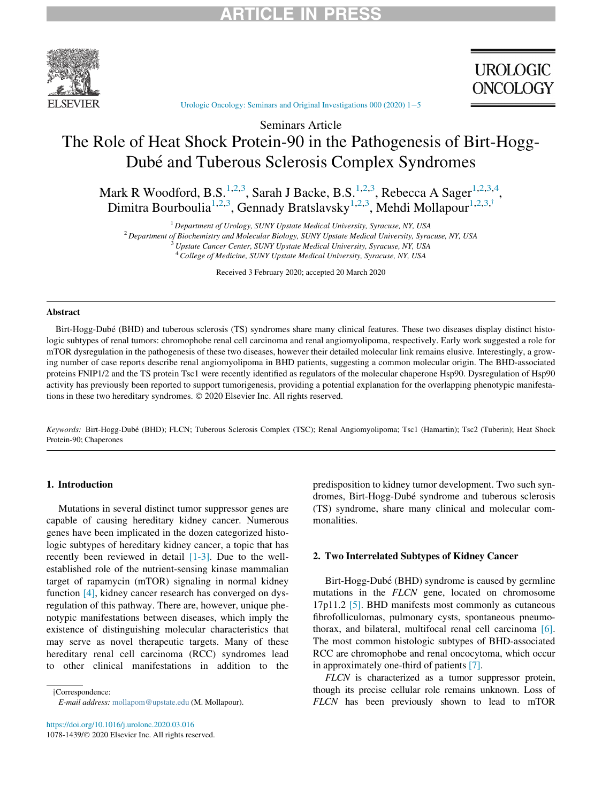

**UROLOGIC ONCOLOGY** 

[Urologic Oncology: Seminars and Original Investigations 000 \(2020\) 1](https://doi.org/10.1016/j.urolonc.2020.03.016)−5

# Seminars Article The Role of Heat Shock Protein-90 in the Pathogenesis of Birt-Hogg-Dube and Tuberous Sclerosis Complex Syndromes

Mark R Woodford, B.S.<sup>[1](#page-0-0)[,2](#page-0-1),[3](#page-0-2)</sup>, Sarah J Backe, B.S.<sup>[1,](#page-0-0)[2,](#page-0-1)3</sup>, Rebecca A Sager<sup>1,2,3,[4](#page-0-3)</sup>, Dimitra Bourboulia<sup>[1](#page-0-0),[2](#page-0-1),[3](#page-0-2)</sup>, Gennady Bratslavsky<sup>[1,](#page-0-0)2[,3](#page-0-2)</sup>, Mehdi Mollapour<sup>1,2,3,†</sup>

 $1$  Department of Urology, SUNY Upstate Medical University, Syracuse, NY, USA

<sup>2</sup> Department of Biochemistry and Molecular Biology, SUNY Upstate Medical University, Syracuse, NY, USA

 $3$  Upstate Cancer Center, SUNY Upstate Medical University, Syracuse, NY, USA

<sup>4</sup> College of Medicine, SUNY Upstate Medical University, Syracuse, NY, USA

Received 3 February 2020; accepted 20 March 2020

#### <span id="page-0-3"></span><span id="page-0-2"></span><span id="page-0-1"></span><span id="page-0-0"></span>Abstract

Birt-Hogg-Dubé (BHD) and tuberous sclerosis (TS) syndromes share many clinical features. These two diseases display distinct histologic subtypes of renal tumors: chromophobe renal cell carcinoma and renal angiomyolipoma, respectively. Early work suggested a role for mTOR dysregulation in the pathogenesis of these two diseases, however their detailed molecular link remains elusive. Interestingly, a growing number of case reports describe renal angiomyolipoma in BHD patients, suggesting a common molecular origin. The BHD-associated proteins FNIP1/2 and the TS protein Tsc1 were recently identified as regulators of the molecular chaperone Hsp90. Dysregulation of Hsp90 activity has previously been reported to support tumorigenesis, providing a potential explanation for the overlapping phenotypic manifestations in these two hereditary syndromes. © 2020 Elsevier Inc. All rights reserved.

Keywords: Birt-Hogg-Dubé (BHD); FLCN; Tuberous Sclerosis Complex (TSC); Renal Angiomyolipoma; Tsc1 (Hamartin); Tsc2 (Tuberin); Heat Shock Protein-90; Chaperones

# 1. Introduction

Mutations in several distinct tumor suppressor genes are capable of causing hereditary kidney cancer. Numerous genes have been implicated in the dozen categorized histologic subtypes of hereditary kidney cancer, a topic that has recently been reviewed in detail [\[1-3\].](#page-3-0) Due to the wellestablished role of the nutrient-sensing kinase mammalian target of rapamycin (mTOR) signaling in normal kidney function [\[4\],](#page-3-1) kidney cancer research has converged on dysregulation of this pathway. There are, however, unique phenotypic manifestations between diseases, which imply the existence of distinguishing molecular characteristics that may serve as novel therapeutic targets. Many of these hereditary renal cell carcinoma (RCC) syndromes lead to other clinical manifestations in addition to the

<span id="page-0-4"></span>yCorrespondence: E-mail address: [mollapom@upstate.edu](mailto:mollapom@upstate.edu) (M. Mollapour).

<https://doi.org/10.1016/j.urolonc.2020.03.016> 1078-1439/© 2020 Elsevier Inc. All rights reserved. predisposition to kidney tumor development. Two such syndromes, Birt-Hogg-Dubé syndrome and tuberous sclerosis (TS) syndrome, share many clinical and molecular commonalities.

## 2. Two Interrelated Subtypes of Kidney Cancer

Birt-Hogg-Dubé (BHD) syndrome is caused by germline mutations in the FLCN gene, located on chromosome 17p11.2 [\[5\]](#page-3-2). BHD manifests most commonly as cutaneous fibrofolliculomas, pulmonary cysts, spontaneous pneumothorax, and bilateral, multifocal renal cell carcinoma [\[6\]](#page-3-3). The most common histologic subtypes of BHD-associated RCC are chromophobe and renal oncocytoma, which occur in approximately one-third of patients [\[7\]](#page-3-4).

FLCN is characterized as a tumor suppressor protein, though its precise cellular role remains unknown. Loss of FLCN has been previously shown to lead to mTOR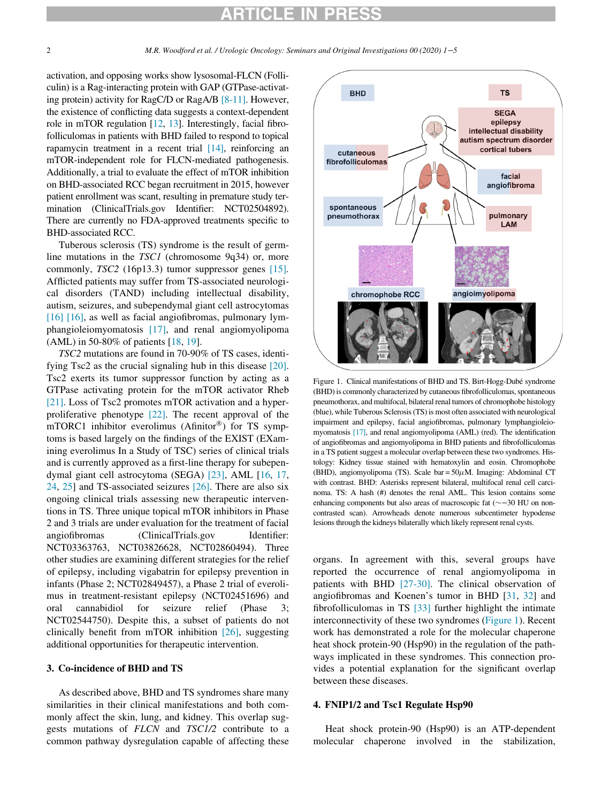# ICLE IN

<span id="page-1-0"></span>activation, and opposing works show lysosomal-FLCN (Folliculin) is a Rag-interacting protein with GAP (GTPase-activating protein) activity for RagC/D or RagA/B [\[8-11\]](#page-3-5). However, the existence of conflicting data suggests a context-dependent role in mTOR regulation [\[12,](#page-3-6) [13\]](#page-3-7). Interestingly, facial fibrofolliculomas in patients with BHD failed to respond to topical rapamycin treatment in a recent trial [\[14\],](#page-3-8) reinforcing an mTOR-independent role for FLCN-mediated pathogenesis. Additionally, a trial to evaluate the effect of mTOR inhibition on BHD-associated RCC began recruitment in 2015, however patient enrollment was scant, resulting in premature study termination (ClinicalTrials.gov Identifier: NCT02504892). There are currently no FDA-approved treatments specific to BHD-associated RCC.

Tuberous sclerosis (TS) syndrome is the result of germline mutations in the TSC1 (chromosome 9q34) or, more commonly,  $TSC2$  (16p13.3) tumor suppressor genes [\[15\]](#page-3-9). Afflicted patients may suffer from TS-associated neurological disorders (TAND) including intellectual disability, autism, seizures, and subependymal giant cell astrocytomas [\[16\] \[16\]](#page-3-10), as well as facial angiofibromas, pulmonary lymphangioleiomyomatosis [\[17\],](#page-3-11) and renal angiomyolipoma (AML) in 50-80% of patients [[18,](#page-3-12) [19\]](#page-3-13).

TSC2 mutations are found in 70-90% of TS cases, identifying Tsc2 as the crucial signaling hub in this disease [\[20\].](#page-3-14) Tsc2 exerts its tumor suppressor function by acting as a GTPase activating protein for the mTOR activator Rheb [\[21\].](#page-3-15) Loss of Tsc2 promotes mTOR activation and a hyperproliferative phenotype [\[22\]](#page-4-0). The recent approval of the mTORC1 inhibitor everolimus (Afinitor<sup>®</sup>) for TS symptoms is based largely on the findings of the EXIST (EXamining everolimus In a Study of TSC) series of clinical trials and is currently approved as a first-line therapy for subependymal giant cell astrocytoma (SEGA) [\[23\],](#page-4-1) AML [[16,](#page-3-10) [17,](#page-3-11) [24](#page-4-2), [25\]](#page-4-3) and TS-associated seizures [\[26\].](#page-4-4) There are also six ongoing clinical trials assessing new therapeutic interventions in TS. Three unique topical mTOR inhibitors in Phase 2 and 3 trials are under evaluation for the treatment of facial angiofibromas (ClinicalTrials.gov Identifier: NCT03363763, NCT03826628, NCT02860494). Three other studies are examining different strategies for the relief of epilepsy, including vigabatrin for epilepsy prevention in infants (Phase 2; NCT02849457), a Phase 2 trial of everolimus in treatment-resistant epilepsy (NCT02451696) and oral cannabidiol for seizure relief (Phase 3; NCT02544750). Despite this, a subset of patients do not clinically benefit from mTOR inhibition [\[26\],](#page-4-4) suggesting additional opportunities for therapeutic intervention.

## 3. Co-incidence of BHD and TS

As described above, BHD and TS syndromes share many similarities in their clinical manifestations and both commonly affect the skin, lung, and kidney. This overlap suggests mutations of FLCN and TSC1/2 contribute to a common pathway dysregulation capable of affecting these



Figure 1. Clinical manifestations of BHD and TS. Birt-Hogg-Dube syndrome (BHD) is commonly characterized by cutaneous fibrofolliculomas, spontaneous pneumothorax, and multifocal, bilateral renal tumors of chromophobe histology (blue), while Tuberous Sclerosis (TS) is most often associated with neurological impairment and epilepsy, facial angiofibromas, pulmonary lymphangioleiomyomatosis [\[17\],](#page-3-11) and renal angiomyolipoma (AML) (red). The identification of angiofibromas and angiomyolipoma in BHD patients and fibrofolliculomas in a TS patient suggest a molecular overlap between these two syndromes. Histology: Kidney tissue stained with hematoxylin and eosin. Chromophobe (BHD), angiomyolipoma (TS). Scale bar =  $50 \mu$ M. Imaging: Abdominal CT with contrast. BHD: Asterisks represent bilateral, multifocal renal cell carcinoma. TS: A hash (#) denotes the renal AML. This lesion contains some enhancing components but also areas of macroscopic fat (~-30 HU on noncontrasted scan). Arrowheads denote numerous subcentimeter hypodense lesions through the kidneys bilaterally which likely represent renal cysts.

organs. In agreement with this, several groups have reported the occurrence of renal angiomyolipoma in patients with BHD [\[27-30\].](#page-4-5) The clinical observation of angiofibromas and Koenen's tumor in BHD [[31,](#page-4-6) [32](#page-4-7)] and fibrofolliculomas in TS [\[33\]](#page-4-8) further highlight the intimate interconnectivity of these two syndromes ([Figure 1](#page-1-0)). Recent work has demonstrated a role for the molecular chaperone heat shock protein-90 (Hsp90) in the regulation of the pathways implicated in these syndromes. This connection provides a potential explanation for the significant overlap between these diseases.

#### 4. FNIP1/2 and Tsc1 Regulate Hsp90

Heat shock protein-90 (Hsp90) is an ATP-dependent molecular chaperone involved in the stabilization,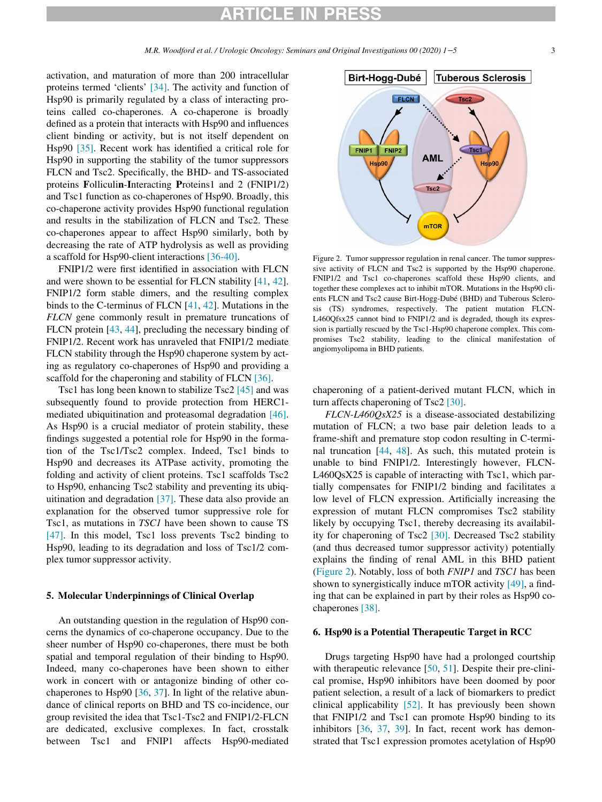# ARTICLE IN PRESS

<span id="page-2-0"></span>activation, and maturation of more than 200 intracellular proteins termed 'clients' [\[34\].](#page-4-9) The activity and function of Hsp90 is primarily regulated by a class of interacting proteins called co-chaperones. A co-chaperone is broadly defined as a protein that interacts with Hsp90 and influences client binding or activity, but is not itself dependent on Hsp90 [\[35\]](#page-4-10). Recent work has identified a critical role for Hsp90 in supporting the stability of the tumor suppressors FLCN and Tsc2. Specifically, the BHD- and TS-associated proteins Folliculin-Interacting Proteins1 and 2 (FNIP1/2) and Tsc1 function as co-chaperones of Hsp90. Broadly, this co-chaperone activity provides Hsp90 functional regulation and results in the stabilization of FLCN and Tsc2. These co-chaperones appear to affect Hsp90 similarly, both by decreasing the rate of ATP hydrolysis as well as providing a scaffold for Hsp90-client interactions [\[36-40\]](#page-4-11).

FNIP1/2 were first identified in association with FLCN and were shown to be essential for FLCN stability [\[41,](#page-4-12) [42](#page-4-13)]. FNIP1/2 form stable dimers, and the resulting complex binds to the C-terminus of FLCN [\[41](#page-4-12), [42\]](#page-4-13). Mutations in the FLCN gene commonly result in premature truncations of FLCN protein [\[43](#page-4-14), [44](#page-4-15)], precluding the necessary binding of FNIP1/2. Recent work has unraveled that FNIP1/2 mediate FLCN stability through the Hsp90 chaperone system by acting as regulatory co-chaperones of Hsp90 and providing a scaffold for the chaperoning and stability of FLCN [\[36\]](#page-4-11).

Tsc1 has long been known to stabilize Tsc2 [\[45\]](#page-4-16) and was subsequently found to provide protection from HERC1 mediated ubiquitination and proteasomal degradation [\[46\]](#page-4-17). As Hsp90 is a crucial mediator of protein stability, these findings suggested a potential role for Hsp90 in the formation of the Tsc1/Tsc2 complex. Indeed, Tsc1 binds to Hsp90 and decreases its ATPase activity, promoting the folding and activity of client proteins. Tsc1 scaffolds Tsc2 to Hsp90, enhancing Tsc2 stability and preventing its ubiquitination and degradation [\[37\]](#page-4-18). These data also provide an explanation for the observed tumor suppressive role for Tsc1, as mutations in TSC1 have been shown to cause TS [\[47\]](#page-4-19). In this model, Tsc1 loss prevents Tsc2 binding to Hsp90, leading to its degradation and loss of Tsc1/2 complex tumor suppressor activity.

## 5. Molecular Underpinnings of Clinical Overlap

An outstanding question in the regulation of Hsp90 concerns the dynamics of co-chaperone occupancy. Due to the sheer number of Hsp90 co-chaperones, there must be both spatial and temporal regulation of their binding to Hsp90. Indeed, many co-chaperones have been shown to either work in concert with or antagonize binding of other cochaperones to Hsp90 [\[36](#page-4-11), [37\]](#page-4-18). In light of the relative abundance of clinical reports on BHD and TS co-incidence, our group revisited the idea that Tsc1-Tsc2 and FNIP1/2-FLCN are dedicated, exclusive complexes. In fact, crosstalk between Tsc1 and FNIP1 affects Hsp90-mediated



Figure 2. Tumor suppressor regulation in renal cancer. The tumor suppressive activity of FLCN and Tsc2 is supported by the Hsp90 chaperone. FNIP1/2 and Tsc1 co-chaperones scaffold these Hsp90 clients, and together these complexes act to inhibit mTOR. Mutations in the Hsp90 clients FLCN and Tsc2 cause Birt-Hogg-Dubé (BHD) and Tuberous Sclerosis (TS) syndromes, respectively. The patient mutation FLCN-L460Qfsx25 cannot bind to FNIP1/2 and is degraded, though its expression is partially rescued by the Tsc1-Hsp90 chaperone complex. This compromises Tsc2 stability, leading to the clinical manifestation of angiomyolipoma in BHD patients.

chaperoning of a patient-derived mutant FLCN, which in turn affects chaperoning of Tsc2 [\[30\]](#page-4-20).

FLCN-L460QsX25 is a disease-associated destabilizing mutation of FLCN; a two base pair deletion leads to a frame-shift and premature stop codon resulting in C-terminal truncation [\[44](#page-4-15), [48](#page-4-21)]. As such, this mutated protein is unable to bind FNIP1/2. Interestingly however, FLCN-L460QsX25 is capable of interacting with Tsc1, which partially compensates for FNIP1/2 binding and facilitates a low level of FLCN expression. Artificially increasing the expression of mutant FLCN compromises Tsc2 stability likely by occupying Tsc1, thereby decreasing its availability for chaperoning of Tsc2 [\[30\].](#page-4-20) Decreased Tsc2 stability (and thus decreased tumor suppressor activity) potentially explains the finding of renal AML in this BHD patient [\(Figure 2\)](#page-2-0). Notably, loss of both FNIP1 and TSC1 has been shown to synergistically induce mTOR activity [\[49\]](#page-4-22), a finding that can be explained in part by their roles as Hsp90 cochaperones [\[38\].](#page-4-23)

#### 6. Hsp90 is a Potential Therapeutic Target in RCC

Drugs targeting Hsp90 have had a prolonged courtship with therapeutic relevance [[50,](#page-4-24) [51](#page-4-25)]. Despite their pre-clinical promise, Hsp90 inhibitors have been doomed by poor patient selection, a result of a lack of biomarkers to predict clinical applicability [\[52\].](#page-4-26) It has previously been shown that FNIP1/2 and Tsc1 can promote Hsp90 binding to its inhibitors [\[36](#page-4-11), [37](#page-4-18), [39](#page-4-27)]. In fact, recent work has demonstrated that Tsc1 expression promotes acetylation of Hsp90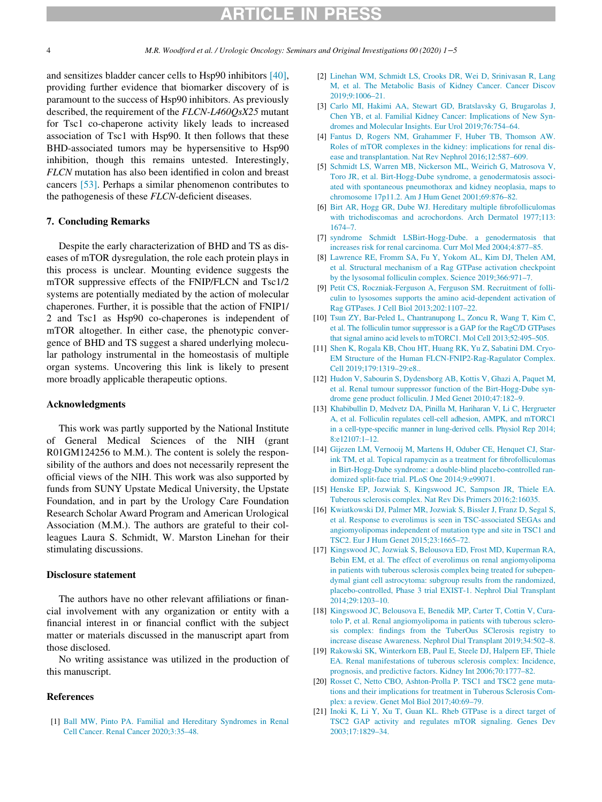# RTICLE IN PRES

4 M.R. Woodford et al. / Urologic Oncology: Seminars and Original Investigations 00 (2020) 1−5

<span id="page-3-1"></span>and sensitizes bladder cancer cells to Hsp90 inhibitors [\[40\],](#page-4-28) providing further evidence that biomarker discovery of is paramount to the success of Hsp90 inhibitors. As previously described, the requirement of the FLCN-L460QsX25 mutant for Tsc1 co-chaperone activity likely leads to increased association of Tsc1 with Hsp90. It then follows that these BHD-associated tumors may be hypersensitive to Hsp90 inhibition, though this remains untested. Interestingly, FLCN mutation has also been identified in colon and breast cancers [\[53\].](#page-4-29) Perhaps a similar phenomenon contributes to the pathogenesis of these FLCN-deficient diseases.

## <span id="page-3-3"></span><span id="page-3-2"></span>7. Concluding Remarks

<span id="page-3-5"></span><span id="page-3-4"></span>Despite the early characterization of BHD and TS as diseases of mTOR dysregulation, the role each protein plays in this process is unclear. Mounting evidence suggests the mTOR suppressive effects of the FNIP/FLCN and Tsc1/2 systems are potentially mediated by the action of molecular chaperones. Further, it is possible that the action of FNIP1/ 2 and Tsc1 as Hsp90 co-chaperones is independent of mTOR altogether. In either case, the phenotypic convergence of BHD and TS suggest a shared underlying molecular pathology instrumental in the homeostasis of multiple organ systems. Uncovering this link is likely to present more broadly applicable therapeutic options.

#### <span id="page-3-7"></span><span id="page-3-6"></span>Acknowledgments

<span id="page-3-9"></span><span id="page-3-8"></span>This work was partly supported by the National Institute of General Medical Sciences of the NIH (grant R01GM124256 to M.M.). The content is solely the responsibility of the authors and does not necessarily represent the official views of the NIH. This work was also supported by funds from SUNY Upstate Medical University, the Upstate Foundation, and in part by the Urology Care Foundation Research Scholar Award Program and American Urological Association (M.M.). The authors are grateful to their colleagues Laura S. Schmidt, W. Marston Linehan for their stimulating discussions.

### <span id="page-3-11"></span><span id="page-3-10"></span>Disclosure statement

<span id="page-3-12"></span>The authors have no other relevant affiliations or financial involvement with any organization or entity with a financial interest in or financial conflict with the subject matter or materials discussed in the manuscript apart from those disclosed.

<span id="page-3-13"></span>No writing assistance was utilized in the production of this manuscript.

### <span id="page-3-15"></span><span id="page-3-14"></span>References

<span id="page-3-0"></span>[1] [Ball MW, Pinto PA. Familial and Hereditary Syndromes in Renal](http://refhub.elsevier.com/S1078-1439(20)30103-4/sbref0001) [Cell Cancer. Renal Cancer 2020;3:35–48.](http://refhub.elsevier.com/S1078-1439(20)30103-4/sbref0001)

- [2] [Linehan WM, Schmidt LS, Crooks DR, Wei D, Srinivasan R, Lang](http://refhub.elsevier.com/S1078-1439(20)30103-4/sbref0002) [M, et al. The Metabolic Basis of Kidney Cancer. Cancer Discov](http://refhub.elsevier.com/S1078-1439(20)30103-4/sbref0002) [2019;9:1006–21.](http://refhub.elsevier.com/S1078-1439(20)30103-4/sbref0002)
- [3] [Carlo MI, Hakimi AA, Stewart GD, Bratslavsky G, Brugarolas J,](http://refhub.elsevier.com/S1078-1439(20)30103-4/sbref0003) [Chen YB, et al. Familial Kidney Cancer: Implications of New Syn](http://refhub.elsevier.com/S1078-1439(20)30103-4/sbref0003)[dromes and Molecular Insights. Eur Urol 2019;76:754–64.](http://refhub.elsevier.com/S1078-1439(20)30103-4/sbref0003)
- [4] [Fantus D, Rogers NM, Grahammer F, Huber TB, Thomson AW.](http://refhub.elsevier.com/S1078-1439(20)30103-4/sbref0004) [Roles of mTOR complexes in the kidney: implications for renal dis](http://refhub.elsevier.com/S1078-1439(20)30103-4/sbref0004)[ease and transplantation. Nat Rev Nephrol 2016;12:587–609.](http://refhub.elsevier.com/S1078-1439(20)30103-4/sbref0004)
- [5] [Schmidt LS, Warren MB, Nickerson ML, Weirich G, Matrosova V,](http://refhub.elsevier.com/S1078-1439(20)30103-4/sbref0005) [Toro JR, et al. Birt-Hogg-Dube syndrome, a genodermatosis associ](http://refhub.elsevier.com/S1078-1439(20)30103-4/sbref0005)[ated with spontaneous pneumothorax and kidney neoplasia, maps to](http://refhub.elsevier.com/S1078-1439(20)30103-4/sbref0005) [chromosome 17p11.2. Am J Hum Genet 2001;69:876–82.](http://refhub.elsevier.com/S1078-1439(20)30103-4/sbref0005)
- [6] [Birt AR, Hogg GR, Dube WJ. Hereditary multiple fibrofolliculomas](http://refhub.elsevier.com/S1078-1439(20)30103-4/sbref0006) [with trichodiscomas and acrochordons. Arch Dermatol 1977;113:](http://refhub.elsevier.com/S1078-1439(20)30103-4/sbref0006) [1674–7.](http://refhub.elsevier.com/S1078-1439(20)30103-4/sbref0006)
- [7] [syndrome Schmidt LSBirt-Hogg-Dube. a genodermatosis that](http://refhub.elsevier.com/S1078-1439(20)30103-4/sbref0007) [increases risk for renal carcinoma. Curr Mol Med 2004;4:877–85.](http://refhub.elsevier.com/S1078-1439(20)30103-4/sbref0007)
- [8] [Lawrence RE, Fromm SA, Fu Y, Yokom AL, Kim DJ, Thelen AM,](http://refhub.elsevier.com/S1078-1439(20)30103-4/sbref0008) [et al. Structural mechanism of a Rag GTPase activation checkpoint](http://refhub.elsevier.com/S1078-1439(20)30103-4/sbref0008) [by the lysosomal folliculin complex. Science 2019;366:971–7.](http://refhub.elsevier.com/S1078-1439(20)30103-4/sbref0008)
- [9] [Petit CS, Roczniak-Ferguson A, Ferguson SM. Recruitment of folli](http://refhub.elsevier.com/S1078-1439(20)30103-4/sbref0009)[culin to lysosomes supports the amino acid-dependent activation of](http://refhub.elsevier.com/S1078-1439(20)30103-4/sbref0009) [Rag GTPases. J Cell Biol 2013;202:1107–22.](http://refhub.elsevier.com/S1078-1439(20)30103-4/sbref0009)
- [10] [Tsun ZY, Bar-Peled L, Chantranupong L, Zoncu R, Wang T, Kim C,](http://refhub.elsevier.com/S1078-1439(20)30103-4/sbref0010) [et al. The folliculin tumor suppressor is a GAP for the RagC/D GTPases](http://refhub.elsevier.com/S1078-1439(20)30103-4/sbref0010) [that signal amino acid levels to mTORC1. Mol Cell 2013;52:495–505.](http://refhub.elsevier.com/S1078-1439(20)30103-4/sbref0010)
- [11] [Shen K, Rogala KB, Chou HT, Huang RK, Yu Z, Sabatini DM. Cryo-](http://refhub.elsevier.com/S1078-1439(20)30103-4/sbref0011)[EM Structure of the Human FLCN-FNIP2-Rag-Ragulator Complex.](http://refhub.elsevier.com/S1078-1439(20)30103-4/sbref0011) [Cell 2019;179:1319–29:e8..](http://refhub.elsevier.com/S1078-1439(20)30103-4/sbref0011)
- [12] [Hudon V, Sabourin S, Dydensborg AB, Kottis V, Ghazi A, Paquet M,](http://refhub.elsevier.com/S1078-1439(20)30103-4/sbref0012) [et al. Renal tumour suppressor function of the Birt-Hogg-Dube syn](http://refhub.elsevier.com/S1078-1439(20)30103-4/sbref0012)[drome gene product folliculin. J Med Genet 2010;47:182–9.](http://refhub.elsevier.com/S1078-1439(20)30103-4/sbref0012)
- [13] [Khabibullin D, Medvetz DA, Pinilla M, Hariharan V, Li C, Hergrueter](http://refhub.elsevier.com/S1078-1439(20)30103-4/sbref0013) [A, et al. Folliculin regulates cell-cell adhesion, AMPK, and mTORC1](http://refhub.elsevier.com/S1078-1439(20)30103-4/sbref0013) [in a cell-type-specific manner in lung-derived cells. Physiol Rep 2014;](http://refhub.elsevier.com/S1078-1439(20)30103-4/sbref0013) [8:e12107:1–12.](http://refhub.elsevier.com/S1078-1439(20)30103-4/sbref0013)
- [14] [Gijezen LM, Vernooij M, Martens H, Oduber CE, Henquet CJ, Star](http://refhub.elsevier.com/S1078-1439(20)30103-4/sbref0014)[ink TM, et al. Topical rapamycin as a treatment for fibrofolliculomas](http://refhub.elsevier.com/S1078-1439(20)30103-4/sbref0014) [in Birt-Hogg-Dube syndrome: a double-blind placebo-controlled ran](http://refhub.elsevier.com/S1078-1439(20)30103-4/sbref0014)[domized split-face trial. PLoS One 2014;9:e99071.](http://refhub.elsevier.com/S1078-1439(20)30103-4/sbref0014)
- [15] [Henske EP, Jozwiak S, Kingswood JC, Sampson JR, Thiele EA.](http://refhub.elsevier.com/S1078-1439(20)30103-4/sbref0015) [Tuberous sclerosis complex. Nat Rev Dis Primers 2016;2:16035.](http://refhub.elsevier.com/S1078-1439(20)30103-4/sbref0015)
- [16] [Kwiatkowski DJ, Palmer MR, Jozwiak S, Bissler J, Franz D, Segal S,](http://refhub.elsevier.com/S1078-1439(20)30103-4/sbref0016) [et al. Response to everolimus is seen in TSC-associated SEGAs and](http://refhub.elsevier.com/S1078-1439(20)30103-4/sbref0016) [angiomyolipomas independent of mutation type and site in TSC1 and](http://refhub.elsevier.com/S1078-1439(20)30103-4/sbref0016) [TSC2. Eur J Hum Genet 2015;23:1665–72.](http://refhub.elsevier.com/S1078-1439(20)30103-4/sbref0016)
- [17] [Kingswood JC, Jozwiak S, Belousova ED, Frost MD, Kuperman RA,](http://refhub.elsevier.com/S1078-1439(20)30103-4/sbref0017) [Bebin EM, et al. The effect of everolimus on renal angiomyolipoma](http://refhub.elsevier.com/S1078-1439(20)30103-4/sbref0017) [in patients with tuberous sclerosis complex being treated for subepen](http://refhub.elsevier.com/S1078-1439(20)30103-4/sbref0017)[dymal giant cell astrocytoma: subgroup results from the randomized,](http://refhub.elsevier.com/S1078-1439(20)30103-4/sbref0017) [placebo-controlled, Phase 3 trial EXIST-1. Nephrol Dial Transplant](http://refhub.elsevier.com/S1078-1439(20)30103-4/sbref0017) [2014;29:1203–10.](http://refhub.elsevier.com/S1078-1439(20)30103-4/sbref0017)
- [18] [Kingswood JC, Belousova E, Benedik MP, Carter T, Cottin V, Cura](http://refhub.elsevier.com/S1078-1439(20)30103-4/sbref0018)[tolo P, et al. Renal angiomyolipoma in patients with tuberous sclero](http://refhub.elsevier.com/S1078-1439(20)30103-4/sbref0018)[sis complex: findings from the TuberOus SClerosis registry to](http://refhub.elsevier.com/S1078-1439(20)30103-4/sbref0018) [increase disease Awareness. Nephrol Dial Transplant 2019;34:502–8.](http://refhub.elsevier.com/S1078-1439(20)30103-4/sbref0018)
- [19] [Rakowski SK, Winterkorn EB, Paul E, Steele DJ, Halpern EF, Thiele](http://refhub.elsevier.com/S1078-1439(20)30103-4/sbref0019) [EA. Renal manifestations of tuberous sclerosis complex: Incidence,](http://refhub.elsevier.com/S1078-1439(20)30103-4/sbref0019) [prognosis, and predictive factors. Kidney Int 2006;70:1777–82.](http://refhub.elsevier.com/S1078-1439(20)30103-4/sbref0019)
- [20] [Rosset C, Netto CBO, Ashton-Prolla P. TSC1 and TSC2 gene muta](http://refhub.elsevier.com/S1078-1439(20)30103-4/sbref0020)[tions and their implications for treatment in Tuberous Sclerosis Com](http://refhub.elsevier.com/S1078-1439(20)30103-4/sbref0020)[plex: a review. Genet Mol Biol 2017;40:69–79.](http://refhub.elsevier.com/S1078-1439(20)30103-4/sbref0020)
- [21] [Inoki K, Li Y, Xu T, Guan KL. Rheb GTPase is a direct target of](http://refhub.elsevier.com/S1078-1439(20)30103-4/sbref0021) [TSC2 GAP activity and regulates mTOR signaling. Genes Dev](http://refhub.elsevier.com/S1078-1439(20)30103-4/sbref0021) [2003;17:1829–34.](http://refhub.elsevier.com/S1078-1439(20)30103-4/sbref0021)